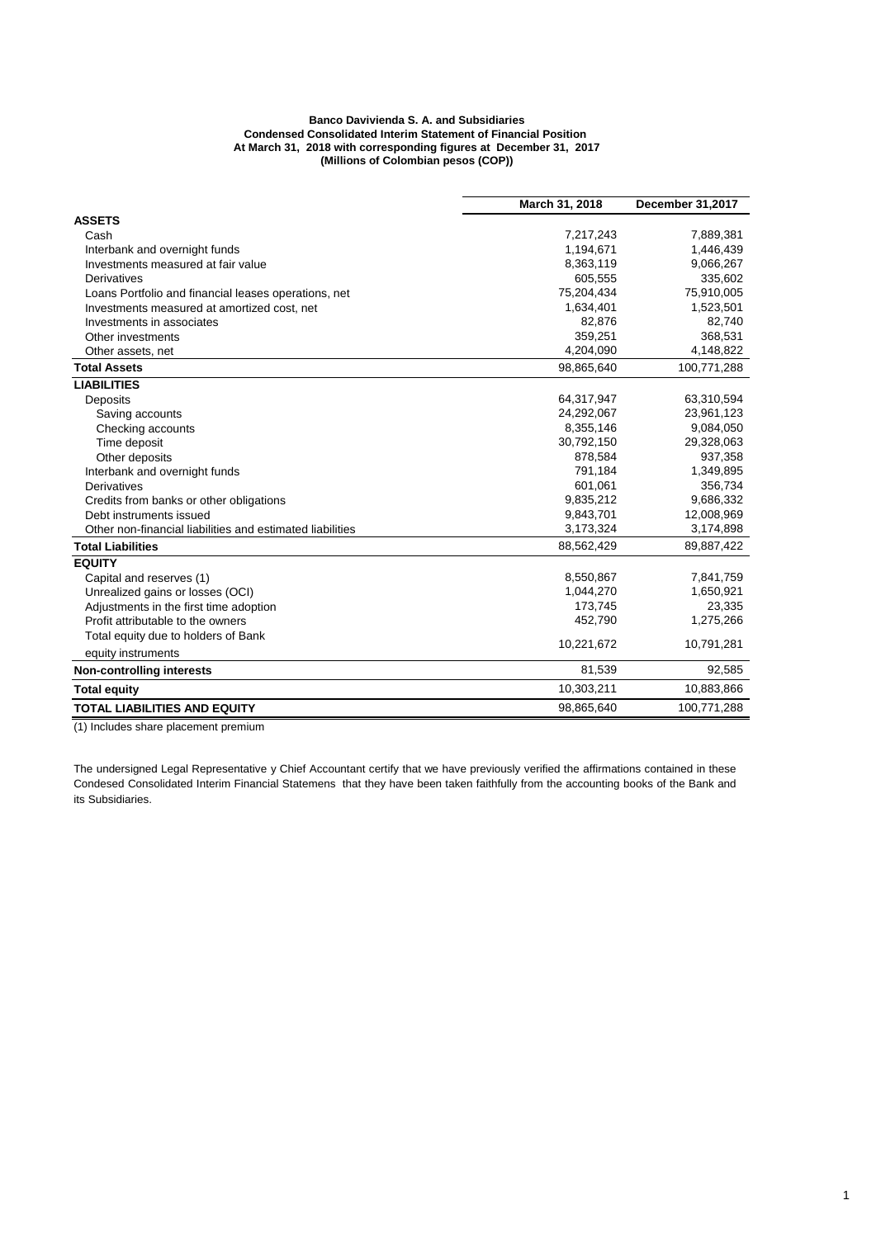## **Banco Davivienda S. A. and Subsidiaries Condensed Consolidated Interim Statement of Financial Position At March 31, 2018 with corresponding figures at December 31, 2017 (Millions of Colombian pesos (COP))**

|                                                           | March 31, 2018 | December 31,2017 |
|-----------------------------------------------------------|----------------|------------------|
| <b>ASSETS</b>                                             |                |                  |
| Cash                                                      | 7,217,243      | 7,889,381        |
| Interbank and overnight funds                             | 1,194,671      | 1,446,439        |
| Investments measured at fair value                        | 8,363,119      | 9,066,267        |
| Derivatives                                               | 605,555        | 335,602          |
| Loans Portfolio and financial leases operations, net      | 75,204,434     | 75,910,005       |
| Investments measured at amortized cost, net               | 1,634,401      | 1,523,501        |
| Investments in associates                                 | 82,876         | 82,740           |
| Other investments                                         | 359,251        | 368,531          |
| Other assets, net                                         | 4,204,090      | 4,148,822        |
| <b>Total Assets</b>                                       | 98,865,640     | 100,771,288      |
| <b>LIABILITIES</b>                                        |                |                  |
| Deposits                                                  | 64,317,947     | 63,310,594       |
| Saving accounts                                           | 24,292,067     | 23,961,123       |
| Checking accounts                                         | 8,355,146      | 9,084,050        |
| Time deposit                                              | 30,792,150     | 29,328,063       |
| Other deposits                                            | 878,584        | 937,358          |
| Interbank and overnight funds                             | 791,184        | 1,349,895        |
| Derivatives                                               | 601,061        | 356,734          |
| Credits from banks or other obligations                   | 9,835,212      | 9,686,332        |
| Debt instruments issued                                   | 9,843,701      | 12,008,969       |
| Other non-financial liabilities and estimated liabilities | 3,173,324      | 3,174,898        |
| <b>Total Liabilities</b>                                  | 88,562,429     | 89,887,422       |
| <b>EQUITY</b>                                             |                |                  |
| Capital and reserves (1)                                  | 8,550,867      | 7,841,759        |
| Unrealized gains or losses (OCI)                          | 1,044,270      | 1,650,921        |
| Adjustments in the first time adoption                    | 173,745        | 23,335           |
| Profit attributable to the owners                         | 452.790        | 1,275,266        |
| Total equity due to holders of Bank                       | 10,221,672     | 10,791,281       |
| equity instruments                                        |                |                  |
| <b>Non-controlling interests</b>                          | 81,539         | 92,585           |
| <b>Total equity</b>                                       | 10,303,211     | 10,883,866       |
| <b>TOTAL LIABILITIES AND EQUITY</b>                       | 98,865,640     | 100,771,288      |

(1) Includes share placement premium

The undersigned Legal Representative y Chief Accountant certify that we have previously verified the affirmations contained in these Condesed Consolidated Interim Financial Statemens that they have been taken faithfully from the accounting books of the Bank and its Subsidiaries.